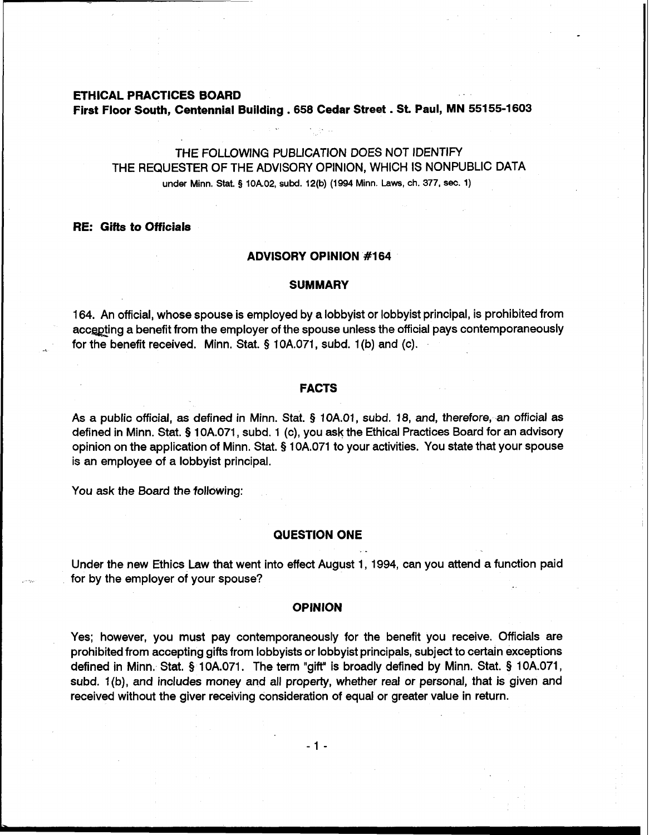#### **ETHICAL PRACTICES BOARD**

**First Floor South, Centennial Building** . **<sup>658</sup>Cedar Street** . **St. Paul, MN 55155-1603** 

### THE FOLLOWING PUBLICATION DOES NOT IDENTIFY THE REQUESTER OF THE ADVISORY OPINION, WHICH IS NONPUBLIC DATA under Minn. Stat. **5** 10A02, subd. 12(b) (1994 Minn. Laws, ch. 377, **sec.** 1)

#### **RE: Gifts to Officials**

# I **ADVISORY OPINION #I64**

## I **SUMMARY**

164. An official, whose spouse is employed by a lobbyist or lobbyist principal, is prohibited from accepting a benefit from the employer of the spouse unless the official pays contemporaneously for the benefit received. Minn. Stat. § 10A.071, subd. 1(b) and (c).

### **I** FACTS

As a public official, as defined in Minn. Stat. § 10A.01, subd. 18, and, therefore, an official as defined in Minn. Stat. § 10A.071, subd. 1 (c), you ask the Ethical Practices Board for an advisory opinion on the application of Minn. Stat. § 10A.071 to your activities. You state that your spouse is an employee of a lobbyist principal.

You ask the **Board** the following:

### **QUESTION ONE**  .<br>24 .

Under the new Ethics Law that went into effect August 1, 1994, can you attend a function paid for by the employer of your spouse?

**I OPINION**<br> *Next* because you must next entrepreneurs when Yes; however, you must pay contemporaneously for the benefit you receive. Officials are prohibited from accepting gifts from lobbyists or lobbyist principals, subject to certain exceptions defined in Minn. Stat. **9** 10A.071. The term "gift" is broadly defined by Minn. Stat. § 10A.071, subd. 1 (b), and includes money and all property, whether real or personal, that is given and received without the giver receiving consideration of equal or greater value in return.

 $-1 -$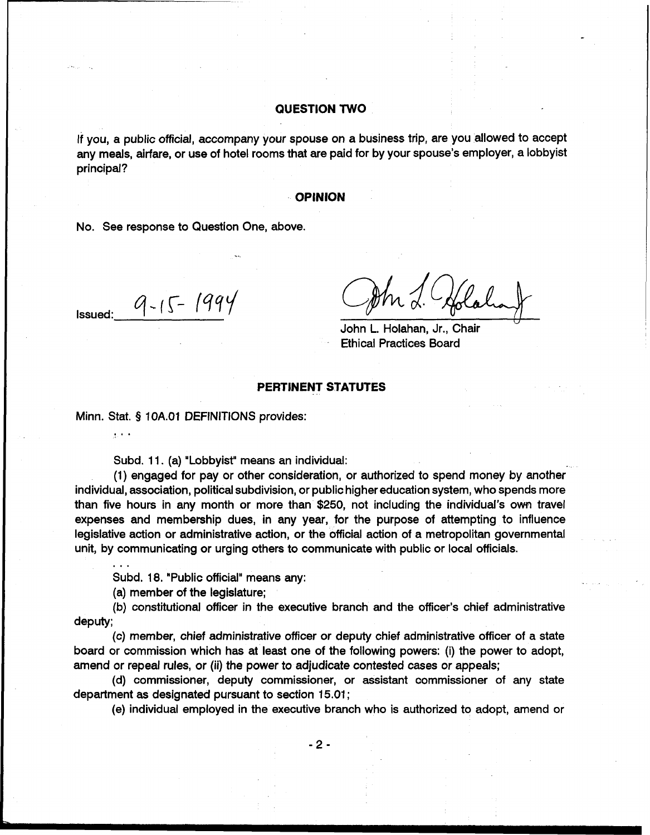#### **QUESTION TWO**

If you, a public official, accompany your spouse on a business trip, are you allowed to accept any meals, airfare, or use of hotel rooms that are paid for by your spouse's employer, a lobbyist principal?

#### **OPINION**

No. See response to Question One, above.

**Issued:**  $q - 15 - 1999$ 

John L. Holahan, Jr., Chair Ethical Practices Board

#### **PERTINENT STATUTES**

Minn. Stat. § 1 OA.O1 DEFINITIONS provides:

Subd. 11. (a) "Lobbyist" means an individual:

(1) engaged for pay or other consideration, or authorized to spend money by another individual, association, political subdivision, or public higher education system, who spends more than five hours in any month or more than \$250, not including the individual's own travel expenses and membership dues, in any year, for the purpose of attempting to influence legislative action or administrative action, or the official action of a metropolitan governmental unit, by communicating or urging others to communicate with public or local officials.

Subd. 18. "Public official" means any:

(a) member of the legislature;

...

 $\sim$   $\sim$ 

(b) constitutional officer in the executive branch and the officer's chief administrative deputy;

(c) member, chief administrative officer or deputy chief administrative officer of a state board or commission which has at least one of the following powers: (i) the power to adopt, amend or repeal rules, or (ii) the power to adjudicate contested cases or appeals;

(d) commissioner, deputy commissioner, or assistant commissioner of any state department as designated pursuant to section 15.01 ;

(e) individual employed in the executive branch who is authorized to adopt, amend or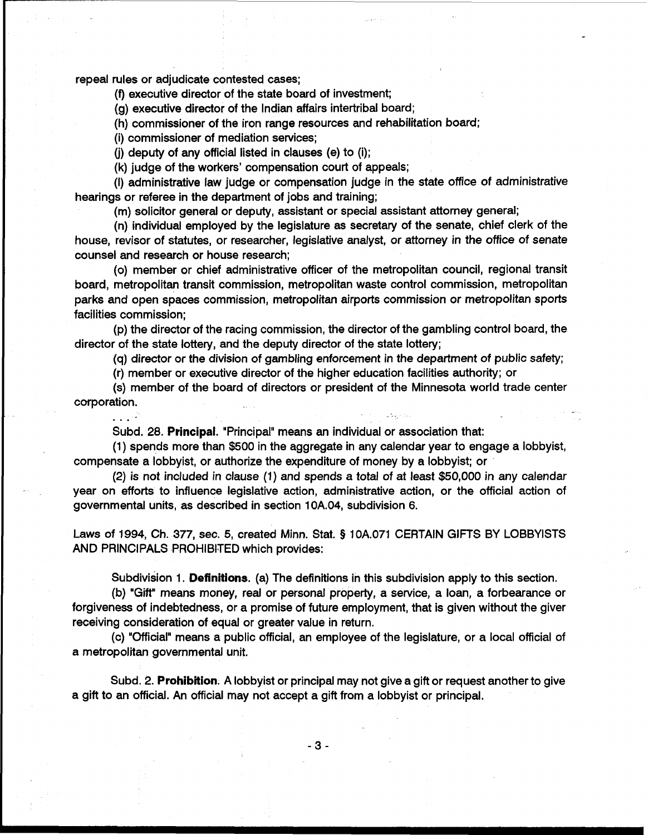repeal rules or adjudicate contested cases;

(9 executive director of the state board of investment;

(g) executive director of the Indian affairs intertribal board;

(h) commissioner of the iron range resources and rehabilitation board;

(i) commissioner of mediation services;

**(j)** deputy of any official listed in clauses (e) to (i);

(k) judge of the workers' compensation court of appeals;

(I) administrative law judge or compensation judge in the state office of administrative hearings or referee in the department of jobs and training;

(m) solicitor general or deputy, assistant or special assistant attorney general;

(n) individual employed by the legislature as secretary of the senate, chief clerk of the house, revisor of statutes, or researcher, legislative analyst, or attorney in the office of senate counsel and research or house research;

(0) member or chief administrative officer of the metropolitan council, regional transit board, metropolitan transit commission, metropolitan waste control commission, metropolitan parks and open spaces commission, metropolitan airports commission or metropolitan sports facilities commission;

(p) the director of the racing commission, the director of the gambling control board, the director of the state lottery, and the deputy director of the state lottery;

(q) director or the division of gambling enforcement in the department of public safety;

(r) member or executive director of the higher education facilities authority; or

(s) member of the board of directors or president of the Minnesota world trade center corporation.

. . . .<br>Subd. 28. Principal. "Principal" means an individual or association that:

(1) spends more than \$500 in the aggregate in any calendar year to engage a lobbyist, compensate a lobbyist, or authorize the expenditure of money by a lobbyist; or

(2) is not included in clause **(1)** and spends a total of at least \$50,000 in any calendar year on efforts to influence legislative action, administrative action, or the official action of governmental units, as described in section 10A.04, subdivision 6.

Laws of 1994, Ch. 377, sec. 5, created Minn. Stat. **5** 10A.071 CERTAIN GIFTS BY LOBBYISTS AND PRINCIPALS PROHIBITED which provides:

Subdivision 1. **Definitions.** (a) The definitions in this subdivision apply to this section.

**(b)** "Gift" means money, real or personal property, a service, a loan, a forbearance or forgiveness of indebtedness, or a promise of future employment, that is given without the giver receiving consideration of equal or greater value in return.

(c) "Official" means a public official, an employee of the legislature, or a local official of a metropolitan governmental unit.

Subd. 2. **Prohibition.** A lobbyist or principal may not give a gift or request another to give a gift to an official. An official may not accept a gift from a lobbyist or principal.

 $-3-$